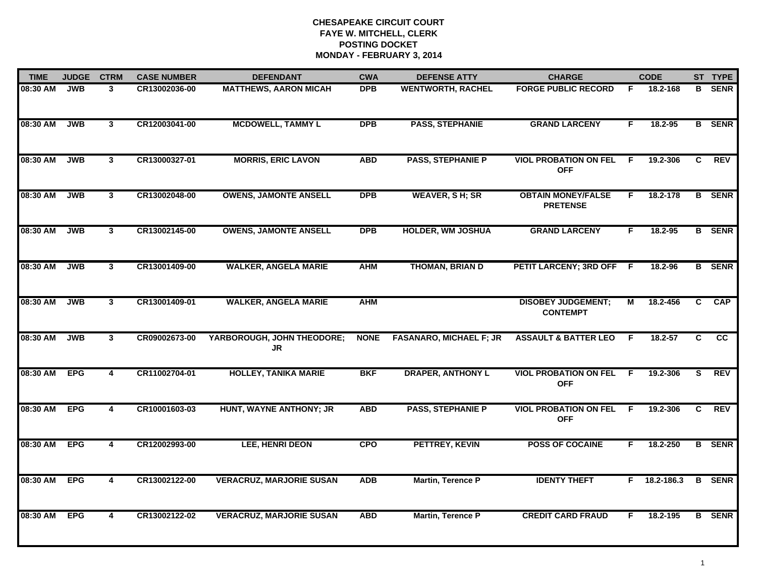| <b>TIME</b> | <b>JUDGE</b> | <b>CTRM</b>             | <b>CASE NUMBER</b> | <b>DEFENDANT</b>                 | <b>CWA</b>  | <b>DEFENSE ATTY</b>            | <b>CHARGE</b>                                |    | <b>CODE</b>    |    | ST TYPE       |
|-------------|--------------|-------------------------|--------------------|----------------------------------|-------------|--------------------------------|----------------------------------------------|----|----------------|----|---------------|
| 08:30 AM    | <b>JWB</b>   | 3                       | CR13002036-00      | <b>MATTHEWS, AARON MICAH</b>     | <b>DPB</b>  | <b>WENTWORTH, RACHEL</b>       | <b>FORGE PUBLIC RECORD</b>                   | E  | 18.2-168       | B  | <b>SENR</b>   |
| 08:30 AM    | <b>JWB</b>   | $\overline{\mathbf{3}}$ | CR12003041-00      | <b>MCDOWELL, TAMMY L</b>         | <b>DPB</b>  | <b>PASS, STEPHANIE</b>         | <b>GRAND LARCENY</b>                         | F  | 18.2-95        |    | <b>B</b> SENR |
| 08:30 AM    | <b>JWB</b>   | $\mathbf{3}$            | CR13000327-01      | <b>MORRIS, ERIC LAVON</b>        | <b>ABD</b>  | <b>PASS, STEPHANIE P</b>       | <b>VIOL PROBATION ON FEL</b><br><b>OFF</b>   | F  | 19.2-306       | C  | <b>REV</b>    |
| 08:30 AM    | <b>JWB</b>   | $\mathbf{3}$            | CR13002048-00      | <b>OWENS, JAMONTE ANSELL</b>     | <b>DPB</b>  | <b>WEAVER, SH; SR</b>          | <b>OBTAIN MONEY/FALSE</b><br><b>PRETENSE</b> | F. | 18.2-178       |    | <b>B</b> SENR |
| 08:30 AM    | <b>JWB</b>   | $\mathbf{3}$            | CR13002145-00      | <b>OWENS, JAMONTE ANSELL</b>     | <b>DPB</b>  | <b>HOLDER, WM JOSHUA</b>       | <b>GRAND LARCENY</b>                         | F. | $18.2 - 95$    |    | <b>B</b> SENR |
| 08:30 AM    | <b>JWB</b>   | $\mathbf{3}$            | CR13001409-00      | <b>WALKER, ANGELA MARIE</b>      | <b>AHM</b>  | <b>THOMAN, BRIAN D</b>         | PETIT LARCENY; 3RD OFF F                     |    | 18.2-96        |    | <b>B</b> SENR |
| 08:30 AM    | <b>JWB</b>   | 3                       | CR13001409-01      | <b>WALKER, ANGELA MARIE</b>      | <b>AHM</b>  |                                | <b>DISOBEY JUDGEMENT;</b><br><b>CONTEMPT</b> | M  | 18.2-456       | C  | <b>CAP</b>    |
| 08:30 AM    | <b>JWB</b>   | $\mathbf{3}$            | CR09002673-00      | YARBOROUGH, JOHN THEODORE;<br>JR | <b>NONE</b> | <b>FASANARO, MICHAEL F; JR</b> | <b>ASSAULT &amp; BATTER LEO</b>              | F  | 18.2-57        | C. | cc            |
| 08:30 AM    | <b>EPG</b>   | 4                       | CR11002704-01      | <b>HOLLEY, TANIKA MARIE</b>      | <b>BKF</b>  | <b>DRAPER, ANTHONY L</b>       | <b>VIOL PROBATION ON FEL</b><br><b>OFF</b>   | -F | 19.2-306       | S. | <b>REV</b>    |
| 08:30 AM    | <b>EPG</b>   | $\overline{\mathbf{4}}$ | CR10001603-03      | HUNT, WAYNE ANTHONY; JR          | <b>ABD</b>  | <b>PASS, STEPHANIE P</b>       | <b>VIOL PROBATION ON FEL</b><br><b>OFF</b>   | F  | 19.2-306       | C. | <b>REV</b>    |
| 08:30 AM    | <b>EPG</b>   | 4                       | CR12002993-00      | LEE, HENRI DEON                  | <b>CPO</b>  | PETTREY, KEVIN                 | <b>POSS OF COCAINE</b>                       | F. | 18.2-250       |    | <b>B</b> SENR |
| 08:30 AM    | <b>EPG</b>   | $\overline{4}$          | CR13002122-00      | <b>VERACRUZ, MARJORIE SUSAN</b>  | <b>ADB</b>  | <b>Martin, Terence P</b>       | <b>IDENTY THEFT</b>                          |    | $F$ 18.2-186.3 |    | <b>B</b> SENR |
| 08:30 AM    | <b>EPG</b>   | $\overline{\mathbf{4}}$ | CR13002122-02      | <b>VERACRUZ, MARJORIE SUSAN</b>  | <b>ABD</b>  | Martin, Terence P              | <b>CREDIT CARD FRAUD</b>                     | F  | 18.2-195       |    | <b>B</b> SENR |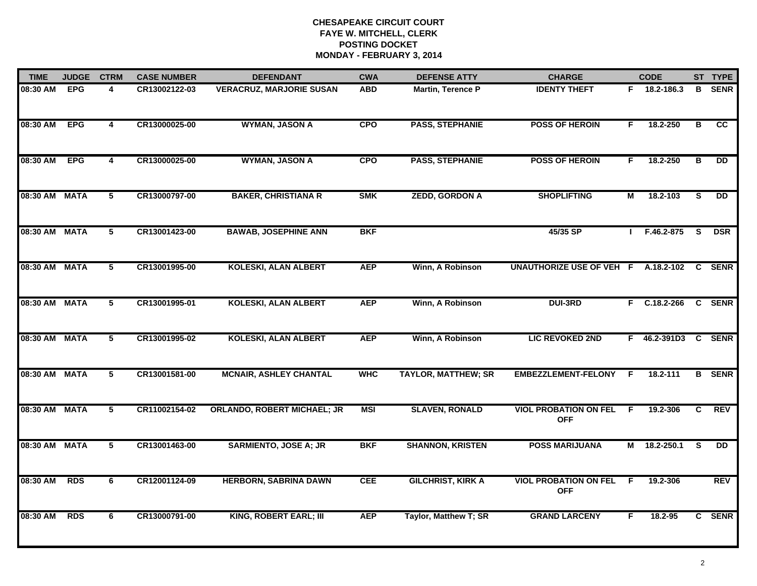| <b>TIME</b>   | <b>JUDGE</b> | <b>CTRM</b>             | <b>CASE NUMBER</b> | <b>DEFENDANT</b>                   | <b>CWA</b> | <b>DEFENSE ATTY</b>        | <b>CHARGE</b>                              |    | <b>CODE</b>         |                         | ST TYPE         |
|---------------|--------------|-------------------------|--------------------|------------------------------------|------------|----------------------------|--------------------------------------------|----|---------------------|-------------------------|-----------------|
| 08:30 AM      | <b>EPG</b>   | 4                       | CR13002122-03      | <b>VERACRUZ, MARJORIE SUSAN</b>    | <b>ABD</b> | Martin, Terence P          | <b>IDENTY THEFT</b>                        |    | $F$ 18.2-186.3      | B                       | <b>SENR</b>     |
| 08:30 AM      | <b>EPG</b>   | $\overline{4}$          | CR13000025-00      | <b>WYMAN, JASON A</b>              | <b>CPO</b> | <b>PASS, STEPHANIE</b>     | <b>POSS OF HEROIN</b>                      | F. | 18.2-250            | в                       | <b>CC</b>       |
| 08:30 AM      | <b>EPG</b>   | $\overline{4}$          | CR13000025-00      | <b>WYMAN, JASON A</b>              | <b>CPO</b> | <b>PASS, STEPHANIE</b>     | <b>POSS OF HEROIN</b>                      | F. | 18.2-250            | $\overline{\mathbf{B}}$ | $\overline{DD}$ |
| 08:30 AM      | <b>MATA</b>  | 5                       | CR13000797-00      | <b>BAKER, CHRISTIANA R</b>         | <b>SMK</b> | <b>ZEDD, GORDON A</b>      | <b>SHOPLIFTING</b>                         | М  | 18.2-103            | S.                      | <b>DD</b>       |
| 08:30 AM      | <b>MATA</b>  | 5                       | CR13001423-00      | <b>BAWAB, JOSEPHINE ANN</b>        | <b>BKF</b> |                            | 45/35 SP                                   |    | $I$ F.46.2-875      | -S                      | <b>DSR</b>      |
| 08:30 AM MATA |              | 5                       | CR13001995-00      | <b>KOLESKI, ALAN ALBERT</b>        | <b>AEP</b> | Winn, A Robinson           | UNAUTHORIZE USE OF VEH F A.18.2-102 C SENR |    |                     |                         |                 |
| 08:30 AM      | <b>MATA</b>  | $\overline{\mathbf{5}}$ | CR13001995-01      | <b>KOLESKI, ALAN ALBERT</b>        | <b>AEP</b> | Winn, A Robinson           | <b>DUI-3RD</b>                             |    | $F$ C.18.2-266      |                         | <b>C SENR</b>   |
| 08:30 AM      | <b>MATA</b>  | $\overline{5}$          | CR13001995-02      | <b>KOLESKI, ALAN ALBERT</b>        | <b>AEP</b> | Winn, A Robinson           | <b>LIC REVOKED 2ND</b>                     |    | F 46.2-391D3 C SENR |                         |                 |
| 08:30 AM      | <b>MATA</b>  | 5                       | CR13001581-00      | <b>MCNAIR, ASHLEY CHANTAL</b>      | <b>WHC</b> | <b>TAYLOR, MATTHEW; SR</b> | <b>EMBEZZLEMENT-FELONY</b>                 | F. | 18.2-111            |                         | <b>B</b> SENR   |
| 08:30 AM      | <b>MATA</b>  | 5                       | CR11002154-02      | <b>ORLANDO, ROBERT MICHAEL; JR</b> | <b>MSI</b> | <b>SLAVEN, RONALD</b>      | <b>VIOL PROBATION ON FEL</b><br><b>OFF</b> | F. | 19.2-306            | C                       | <b>REV</b>      |
| 08:30 AM MATA |              | 5                       | CR13001463-00      | <b>SARMIENTO, JOSE A; JR</b>       | <b>BKF</b> | <b>SHANNON, KRISTEN</b>    | <b>POSS MARIJUANA</b>                      |    | M 18.2-250.1        | -S                      | <b>DD</b>       |
| 08:30 AM      | <b>RDS</b>   | 6                       | CR12001124-09      | <b>HERBORN, SABRINA DAWN</b>       | <b>CEE</b> | <b>GILCHRIST, KIRK A</b>   | <b>VIOL PROBATION ON FEL</b><br><b>OFF</b> | F. | 19.2-306            |                         | <b>REV</b>      |
| 08:30 AM      | <b>RDS</b>   | 6                       | CR13000791-00      | KING, ROBERT EARL; III             | <b>AEP</b> | Taylor, Matthew T; SR      | <b>GRAND LARCENY</b>                       | F. | 18.2-95             |                         | C SENR          |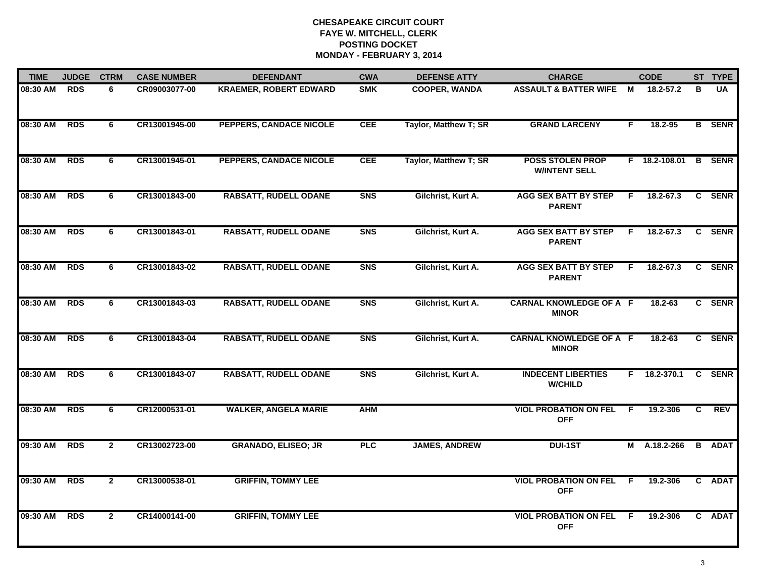| <b>TIME</b> | <b>JUDGE</b> | <b>CTRM</b>    | <b>CASE NUMBER</b> | <b>DEFENDANT</b>              | <b>CWA</b> | <b>DEFENSE ATTY</b>   | <b>CHARGE</b>                                   |     | <b>CODE</b>     |              | ST TYPE       |
|-------------|--------------|----------------|--------------------|-------------------------------|------------|-----------------------|-------------------------------------------------|-----|-----------------|--------------|---------------|
| 08:30 AM    | <b>RDS</b>   | 6              | CR09003077-00      | <b>KRAEMER, ROBERT EDWARD</b> | <b>SMK</b> | <b>COOPER, WANDA</b>  | <b>ASSAULT &amp; BATTER WIFE</b>                | M   | 18.2-57.2       | в            | UA            |
| 08:30 AM    | <b>RDS</b>   | 6              | CR13001945-00      | PEPPERS, CANDACE NICOLE       | <b>CEE</b> | Taylor, Matthew T; SR | <b>GRAND LARCENY</b>                            | F   | 18.2-95         |              | <b>B</b> SENR |
| 08:30 AM    | <b>RDS</b>   | 6              | CR13001945-01      | PEPPERS, CANDACE NICOLE       | <b>CEE</b> | Taylor, Matthew T; SR | <b>POSS STOLEN PROP</b><br><b>W/INTENT SELL</b> |     | $F$ 18.2-108.01 |              | <b>B</b> SENR |
| 08:30 AM    | <b>RDS</b>   | 6              | CR13001843-00      | <b>RABSATT, RUDELL ODANE</b>  | <b>SNS</b> | Gilchrist, Kurt A.    | <b>AGG SEX BATT BY STEP</b><br><b>PARENT</b>    | F.  | 18.2-67.3       |              | C SENR        |
| 08:30 AM    | <b>RDS</b>   | 6              | CR13001843-01      | <b>RABSATT, RUDELL ODANE</b>  | <b>SNS</b> | Gilchrist, Kurt A.    | <b>AGG SEX BATT BY STEP</b><br><b>PARENT</b>    | F.  | 18.2-67.3       | $\mathbf{c}$ | <b>SENR</b>   |
| 08:30 AM    | <b>RDS</b>   | 6              | CR13001843-02      | <b>RABSATT, RUDELL ODANE</b>  | <b>SNS</b> | Gilchrist, Kurt A.    | <b>AGG SEX BATT BY STEP</b><br><b>PARENT</b>    | F   | 18.2-67.3       | C.           | <b>SENR</b>   |
| 08:30 AM    | <b>RDS</b>   | 6              | CR13001843-03      | <b>RABSATT, RUDELL ODANE</b>  | <b>SNS</b> | Gilchrist, Kurt A.    | <b>CARNAL KNOWLEDGE OF A F</b><br><b>MINOR</b>  |     | $18.2 - 63$     | C            | <b>SENR</b>   |
| 08:30 AM    | <b>RDS</b>   | 6              | CR13001843-04      | <b>RABSATT, RUDELL ODANE</b>  | <b>SNS</b> | Gilchrist, Kurt A.    | <b>CARNAL KNOWLEDGE OF A F</b><br><b>MINOR</b>  |     | $18.2 - 63$     |              | C SENR        |
| 08:30 AM    | <b>RDS</b>   | 6              | CR13001843-07      | <b>RABSATT, RUDELL ODANE</b>  | <b>SNS</b> | Gilchrist, Kurt A.    | <b>INDECENT LIBERTIES</b><br><b>W/CHILD</b>     | F.  | 18.2-370.1      |              | C SENR        |
| 08:30 AM    | <b>RDS</b>   | 6              | CR12000531-01      | <b>WALKER, ANGELA MARIE</b>   | <b>AHM</b> |                       | <b>VIOL PROBATION ON FEL</b><br><b>OFF</b>      | F.  | 19.2-306        | C.           | <b>REV</b>    |
| 09:30 AM    | <b>RDS</b>   | $\overline{2}$ | CR13002723-00      | <b>GRANADO, ELISEO; JR</b>    | <b>PLC</b> | <b>JAMES, ANDREW</b>  | <b>DUI-1ST</b>                                  |     | M A.18.2-266    | B            | <b>ADAT</b>   |
| 09:30 AM    | <b>RDS</b>   | $\overline{2}$ | CR13000538-01      | <b>GRIFFIN, TOMMY LEE</b>     |            |                       | <b>VIOL PROBATION ON FEL</b><br><b>OFF</b>      | F.  | 19.2-306        |              | C ADAT        |
| 09:30 AM    | <b>RDS</b>   | $\mathbf{2}$   | CR14000141-00      | <b>GRIFFIN, TOMMY LEE</b>     |            |                       | <b>VIOL PROBATION ON FEL</b><br><b>OFF</b>      | - F | 19.2-306        |              | C ADAT        |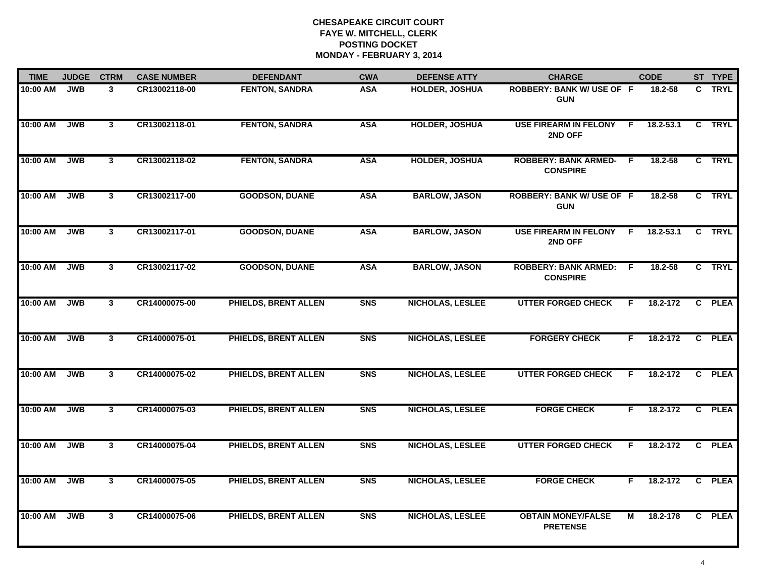| <b>TIME</b> | <b>JUDGE</b> | <b>CTRM</b>             | <b>CASE NUMBER</b> | <b>DEFENDANT</b>            | <b>CWA</b> | <b>DEFENSE ATTY</b>     | <b>CHARGE</b>                                    |                | <b>CODE</b>   | ST TYPE |
|-------------|--------------|-------------------------|--------------------|-----------------------------|------------|-------------------------|--------------------------------------------------|----------------|---------------|---------|
| 10:00 AM    | <b>JWB</b>   | $\mathbf{3}$            | CR13002118-00      | <b>FENTON, SANDRA</b>       | <b>ASA</b> | <b>HOLDER, JOSHUA</b>   | <b>ROBBERY: BANK W/ USE OF F</b><br><b>GUN</b>   |                | 18.2-58       | C TRYL  |
| 10:00 AM    | <b>JWB</b>   | $\overline{\mathbf{3}}$ | CR13002118-01      | <b>FENTON, SANDRA</b>       | <b>ASA</b> | <b>HOLDER, JOSHUA</b>   | <b>USE FIREARM IN FELONY</b><br>2ND OFF          | - F            | $18.2 - 53.1$ | C TRYL  |
| 10:00 AM    | <b>JWB</b>   | 3                       | CR13002118-02      | <b>FENTON, SANDRA</b>       | <b>ASA</b> | <b>HOLDER, JOSHUA</b>   | <b>ROBBERY: BANK ARMED-</b><br><b>CONSPIRE</b>   | $\overline{F}$ | 18.2-58       | C TRYL  |
| 10:00 AM    | <b>JWB</b>   | $\mathbf{3}$            | CR13002117-00      | <b>GOODSON, DUANE</b>       | <b>ASA</b> | <b>BARLOW, JASON</b>    | <b>ROBBERY: BANK W/ USE OF F</b><br><b>GUN</b>   |                | $18.2 - 58$   | C TRYL  |
| 10:00 AM    | <b>JWB</b>   | 3                       | CR13002117-01      | <b>GOODSON, DUANE</b>       | <b>ASA</b> | <b>BARLOW, JASON</b>    | <b>USE FIREARM IN FELONY</b><br>2ND OFF          | - F            | 18.2-53.1     | C TRYL  |
| 10:00 AM    | JWB          | 3                       | CR13002117-02      | <b>GOODSON, DUANE</b>       | <b>ASA</b> | <b>BARLOW, JASON</b>    | <b>ROBBERY: BANK ARMED: F</b><br><b>CONSPIRE</b> |                | 18.2-58       | C TRYL  |
| 10:00 AM    | <b>JWB</b>   | 3                       | CR14000075-00      | <b>PHIELDS, BRENT ALLEN</b> | <b>SNS</b> | <b>NICHOLAS, LESLEE</b> | <b>UTTER FORGED CHECK</b>                        | F.             | 18.2-172      | C PLEA  |
| 10:00 AM    | <b>JWB</b>   | $\overline{\mathbf{3}}$ | CR14000075-01      | <b>PHIELDS, BRENT ALLEN</b> | <b>SNS</b> | <b>NICHOLAS, LESLEE</b> | <b>FORGERY CHECK</b>                             | F.             | 18.2-172      | C PLEA  |
| 10:00 AM    | <b>JWB</b>   | $\mathbf{3}$            | CR14000075-02      | <b>PHIELDS, BRENT ALLEN</b> | <b>SNS</b> | <b>NICHOLAS, LESLEE</b> | <b>UTTER FORGED CHECK</b>                        | F.             | 18.2-172      | C PLEA  |
| 10:00 AM    | <b>JWB</b>   | 3                       | CR14000075-03      | PHIELDS, BRENT ALLEN        | <b>SNS</b> | <b>NICHOLAS, LESLEE</b> | <b>FORGE CHECK</b>                               | F.             | 18.2-172      | C PLEA  |
| 10:00 AM    | <b>JWB</b>   | $\mathbf{3}$            | CR14000075-04      | <b>PHIELDS, BRENT ALLEN</b> | <b>SNS</b> | <b>NICHOLAS, LESLEE</b> | <b>UTTER FORGED CHECK</b>                        | F              | 18.2-172      | C PLEA  |
| 10:00 AM    | <b>JWB</b>   | $\mathbf{3}$            | CR14000075-05      | <b>PHIELDS, BRENT ALLEN</b> | <b>SNS</b> | <b>NICHOLAS, LESLEE</b> | <b>FORGE CHECK</b>                               | F.             | 18.2-172      | C PLEA  |
| 10:00 AM    | <b>JWB</b>   | $\mathbf{3}$            | CR14000075-06      | PHIELDS, BRENT ALLEN        | <b>SNS</b> | <b>NICHOLAS, LESLEE</b> | <b>OBTAIN MONEY/FALSE</b><br><b>PRETENSE</b>     | М              | 18.2-178      | C PLEA  |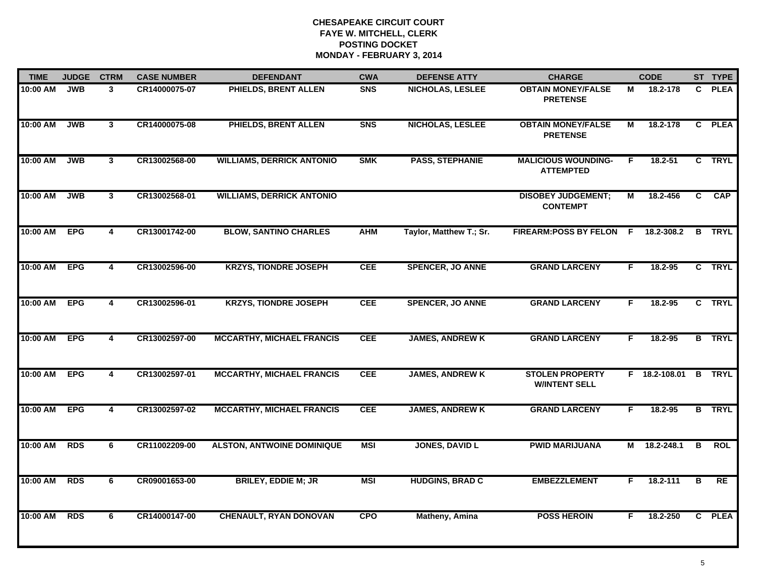| <b>TIME</b> | <b>JUDGE</b> | <b>CTRM</b>             | <b>CASE NUMBER</b> | <b>DEFENDANT</b>                  | <b>CWA</b> | <b>DEFENSE ATTY</b>     | <b>CHARGE</b>                                  |    | <b>CODE</b>   |                         | ST TYPE       |
|-------------|--------------|-------------------------|--------------------|-----------------------------------|------------|-------------------------|------------------------------------------------|----|---------------|-------------------------|---------------|
| 10:00 AM    | <b>JWB</b>   | 3                       | CR14000075-07      | <b>PHIELDS, BRENT ALLEN</b>       | <b>SNS</b> | <b>NICHOLAS, LESLEE</b> | <b>OBTAIN MONEY/FALSE</b><br><b>PRETENSE</b>   | М  | 18.2-178      | C.                      | <b>PLEA</b>   |
| 10:00 AM    | <b>JWB</b>   | $\overline{\mathbf{3}}$ | CR14000075-08      | PHIELDS, BRENT ALLEN              | <b>SNS</b> | <b>NICHOLAS, LESLEE</b> | <b>OBTAIN MONEY/FALSE</b><br><b>PRETENSE</b>   | М  | 18.2-178      | $\mathbf{c}$            | <b>PLEA</b>   |
| 10:00 AM    | <b>JWB</b>   | $\overline{\mathbf{3}}$ | CR13002568-00      | <b>WILLIAMS, DERRICK ANTONIO</b>  | <b>SMK</b> | <b>PASS, STEPHANIE</b>  | <b>MALICIOUS WOUNDING-</b><br><b>ATTEMPTED</b> | F. | $18.2 - 51$   |                         | C TRYL        |
| 10:00 AM    | <b>JWB</b>   | $\mathbf{3}$            | CR13002568-01      | <b>WILLIAMS, DERRICK ANTONIO</b>  |            |                         | <b>DISOBEY JUDGEMENT;</b><br><b>CONTEMPT</b>   | М  | 18.2-456      | C.                      | <b>CAP</b>    |
| 10:00 AM    | <b>EPG</b>   | 4                       | CR13001742-00      | <b>BLOW, SANTINO CHARLES</b>      | <b>AHM</b> | Taylor, Matthew T.; Sr. | FIREARM:POSS BY FELON F 18.2-308.2             |    |               |                         | <b>B</b> TRYL |
| 10:00 AM    | <b>EPG</b>   | 4                       | CR13002596-00      | <b>KRZYS, TIONDRE JOSEPH</b>      | <b>CEE</b> | <b>SPENCER, JO ANNE</b> | <b>GRAND LARCENY</b>                           | F. | 18.2-95       |                         | C TRYL        |
| 10:00 AM    | <b>EPG</b>   | $\overline{\mathbf{4}}$ | CR13002596-01      | <b>KRZYS, TIONDRE JOSEPH</b>      | <b>CEE</b> | <b>SPENCER, JO ANNE</b> | <b>GRAND LARCENY</b>                           | F  | 18.2-95       |                         | C TRYL        |
| 10:00 AM    | <b>EPG</b>   | 4                       | CR13002597-00      | <b>MCCARTHY, MICHAEL FRANCIS</b>  | <b>CEE</b> | <b>JAMES, ANDREW K</b>  | <b>GRAND LARCENY</b>                           | F  | 18.2-95       |                         | <b>B</b> TRYL |
| 10:00 AM    | <b>EPG</b>   | 4                       | CR13002597-01      | <b>MCCARTHY, MICHAEL FRANCIS</b>  | <b>CEE</b> | <b>JAMES, ANDREW K</b>  | <b>STOLEN PROPERTY</b><br><b>W/INTENT SELL</b> |    | F 18.2-108.01 | $\mathbf{B}$            | <b>TRYL</b>   |
| 10:00 AM    | <b>EPG</b>   | 4                       | CR13002597-02      | <b>MCCARTHY, MICHAEL FRANCIS</b>  | <b>CEE</b> | <b>JAMES, ANDREW K</b>  | <b>GRAND LARCENY</b>                           | F. | 18.2-95       |                         | <b>B</b> TRYL |
| 10:00 AM    | <b>RDS</b>   | 6                       | CR11002209-00      | <b>ALSTON, ANTWOINE DOMINIQUE</b> | <b>MSI</b> | <b>JONES, DAVID L</b>   | <b>PWID MARIJUANA</b>                          |    | M 18.2-248.1  | $\overline{\mathbf{B}}$ | <b>ROL</b>    |
| 10:00 AM    | <b>RDS</b>   | 6                       | CR09001653-00      | <b>BRILEY, EDDIE M; JR</b>        | <b>MSI</b> | <b>HUDGINS, BRAD C</b>  | <b>EMBEZZLEMENT</b>                            | F. | 18.2-111      | В                       | RE            |
| 10:00 AM    | <b>RDS</b>   | 6                       | CR14000147-00      | <b>CHENAULT, RYAN DONOVAN</b>     | <b>CPO</b> | <b>Matheny, Amina</b>   | <b>POSS HEROIN</b>                             | F  | 18.2-250      |                         | C PLEA        |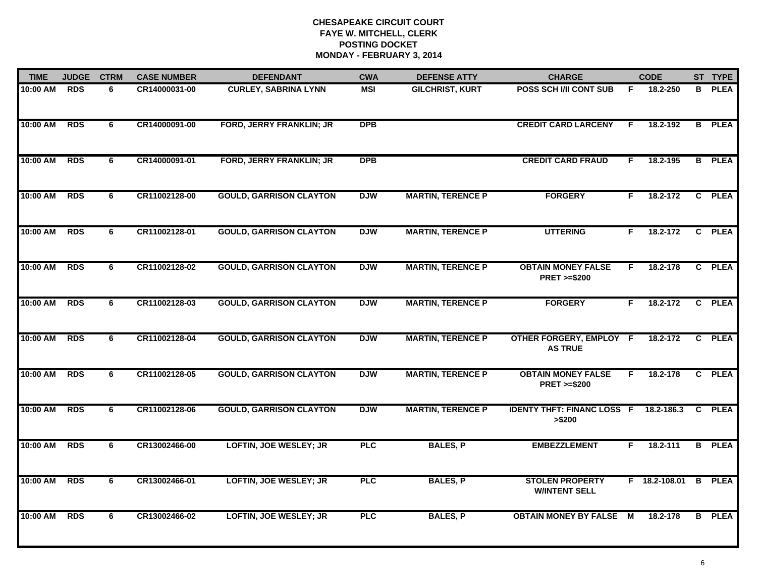| <b>TIME</b> | <b>JUDGE</b> | <b>CTRM</b>    | <b>CASE NUMBER</b> | <b>DEFENDANT</b>                | <b>CWA</b> | <b>DEFENSE ATTY</b>      | <b>CHARGE</b>                                       |    | <b>CODE</b>   |    | ST TYPE       |
|-------------|--------------|----------------|--------------------|---------------------------------|------------|--------------------------|-----------------------------------------------------|----|---------------|----|---------------|
| 10:00 AM    | <b>RDS</b>   | 6              | CR14000031-00      | <b>CURLEY, SABRINA LYNN</b>     | <b>MSI</b> | <b>GILCHRIST, KURT</b>   | <b>POSS SCH I/II CONT SUB</b>                       | F. | 18.2-250      | B. | <b>PLEA</b>   |
| 10:00 AM    | <b>RDS</b>   | 6              | CR14000091-00      | <b>FORD, JERRY FRANKLIN; JR</b> | <b>DPB</b> |                          | <b>CREDIT CARD LARCENY</b>                          | E  | 18.2-192      |    | <b>B</b> PLEA |
| 10:00 AM    | <b>RDS</b>   | 6              | CR14000091-01      | <b>FORD, JERRY FRANKLIN; JR</b> | <b>DPB</b> |                          | <b>CREDIT CARD FRAUD</b>                            | F. | 18.2-195      |    | <b>B</b> PLEA |
| 10:00 AM    | <b>RDS</b>   | 6              | CR11002128-00      | <b>GOULD, GARRISON CLAYTON</b>  | <b>DJW</b> | <b>MARTIN, TERENCE P</b> | <b>FORGERY</b>                                      | F. | 18.2-172      |    | C PLEA        |
| 10:00 AM    | RDS          | 6              | CR11002128-01      | <b>GOULD, GARRISON CLAYTON</b>  | <b>DJW</b> | <b>MARTIN, TERENCE P</b> | <b>UTTERING</b>                                     | F. | 18.2-172      |    | C PLEA        |
| 10:00 AM    | <b>RDS</b>   | 6              | CR11002128-02      | <b>GOULD, GARRISON CLAYTON</b>  | <b>DJW</b> | <b>MARTIN, TERENCE P</b> | <b>OBTAIN MONEY FALSE</b><br><b>PRET &gt;=\$200</b> | F. | 18.2-178      |    | C PLEA        |
| 10:00 AM    | <b>RDS</b>   | 6              | CR11002128-03      | <b>GOULD, GARRISON CLAYTON</b>  | <b>DJW</b> | <b>MARTIN, TERENCE P</b> | <b>FORGERY</b>                                      | F. | 18.2-172      |    | C PLEA        |
| 10:00 AM    | <b>RDS</b>   | 6              | CR11002128-04      | <b>GOULD, GARRISON CLAYTON</b>  | <b>DJW</b> | <b>MARTIN, TERENCE P</b> | <b>OTHER FORGERY, EMPLOY F</b><br><b>AS TRUE</b>    |    | 18.2-172      |    | C PLEA        |
| 10:00 AM    | <b>RDS</b>   | 6              | CR11002128-05      | <b>GOULD, GARRISON CLAYTON</b>  | <b>DJW</b> | <b>MARTIN, TERENCE P</b> | <b>OBTAIN MONEY FALSE</b><br><b>PRET &gt;=\$200</b> | F. | 18.2-178      |    | C PLEA        |
| 10:00 AM    | <b>RDS</b>   | 6              | CR11002128-06      | <b>GOULD, GARRISON CLAYTON</b>  | <b>DJW</b> | <b>MARTIN, TERENCE P</b> | <b>IDENTY THFT: FINANC LOSS F</b><br>> \$200        |    | 18.2-186.3    |    | C PLEA        |
| 10:00 AM    | <b>RDS</b>   | 6              | CR13002466-00      | <b>LOFTIN, JOE WESLEY; JR</b>   | <b>PLC</b> | <b>BALES, P</b>          | <b>EMBEZZLEMENT</b>                                 | F. | $18.2 - 111$  |    | <b>B</b> PLEA |
| 10:00 AM    | <b>RDS</b>   | $\overline{6}$ | CR13002466-01      | LOFTIN, JOE WESLEY; JR          | PLC        | <b>BALES, P</b>          | <b>STOLEN PROPERTY</b><br><b>W/INTENT SELL</b>      |    | F 18.2-108.01 | B  | <b>PLEA</b>   |
| 10:00 AM    | <b>RDS</b>   | 6              | CR13002466-02      | <b>LOFTIN, JOE WESLEY; JR</b>   | PLC        | <b>BALES, P</b>          | <b>OBTAIN MONEY BY FALSE M</b>                      |    | 18.2-178      |    | <b>B</b> PLEA |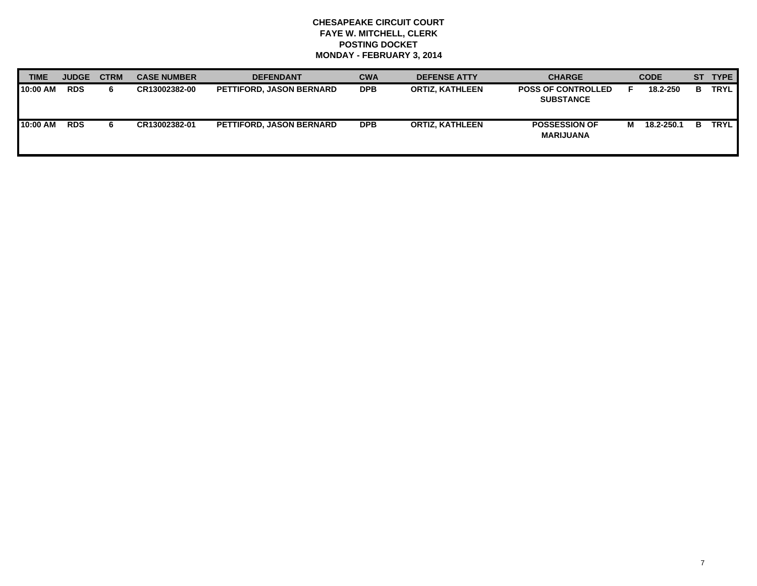| <b>TIME</b> | <b>JUDGE</b> | <b>CTRM</b> | <b>CASE NUMBER</b> | <b>DEFENDANT</b>                | <b>CWA</b> | <b>DEFENSE ATTY</b>    | <b>CHARGE</b>                                 |   | <b>CODE</b> |    | ST TYPE     |
|-------------|--------------|-------------|--------------------|---------------------------------|------------|------------------------|-----------------------------------------------|---|-------------|----|-------------|
| 10:00 AM    | <b>RDS</b>   | 6           | CR13002382-00      | <b>PETTIFORD, JASON BERNARD</b> | <b>DPB</b> | <b>ORTIZ, KATHLEEN</b> | <b>POSS OF CONTROLLED</b><br><b>SUBSTANCE</b> |   | 18.2-250    | в  | TRYL        |
| 10:00 AM    | <b>RDS</b>   | 6           | CR13002382-01      | <b>PETTIFORD, JASON BERNARD</b> | <b>DPB</b> | <b>ORTIZ, KATHLEEN</b> | <b>POSSESSION OF</b><br><b>MARIJUANA</b>      | м | 18.2-250.1  | в. | <b>TRYL</b> |